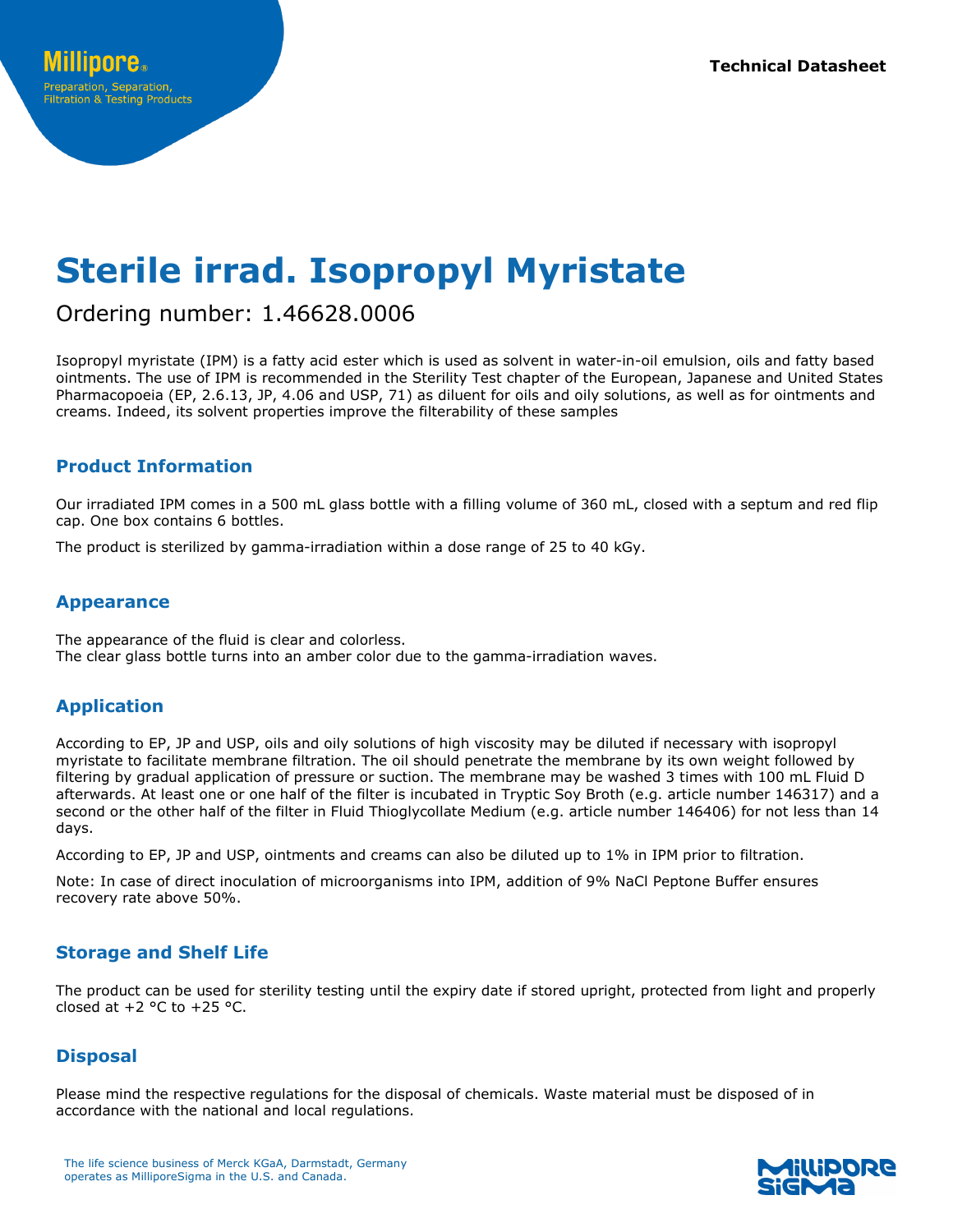# **Sterile irrad. Isopropyl Myristate**

# Ordering number: 1.46628.0006

Isopropyl myristate (IPM) is a fatty acid ester which is used as solvent in water-in-oil emulsion, oils and fatty based ointments. The use of IPM is recommended in the Sterility Test chapter of the European, Japanese and United States Pharmacopoeia (EP, 2.6.13, JP, 4.06 and USP, 71) as diluent for oils and oily solutions, as well as for ointments and creams. Indeed, its solvent properties improve the filterability of these samples

# **Product Information**

Our irradiated IPM comes in a 500 mL glass bottle with a filling volume of 360 mL, closed with a septum and red flip cap. One box contains 6 bottles.

The product is sterilized by gamma-irradiation within a dose range of 25 to 40 kGy.

## **Appearance**

The appearance of the fluid is clear and colorless. The clear glass bottle turns into an amber color due to the gamma-irradiation waves.

## **Application**

According to EP, JP and USP, oils and oily solutions of high viscosity may be diluted if necessary with isopropyl myristate to facilitate membrane filtration. The oil should penetrate the membrane by its own weight followed by filtering by gradual application of pressure or suction. The membrane may be washed 3 times with 100 mL Fluid D afterwards. At least one or one half of the filter is incubated in Tryptic Soy Broth (e.g. article number 146317) and a second or the other half of the filter in Fluid Thioglycollate Medium (e.g. article number 146406) for not less than 14 days.

According to EP, JP and USP, ointments and creams can also be diluted up to 1% in IPM prior to filtration.

Note: In case of direct inoculation of microorganisms into IPM, addition of 9% NaCl Peptone Buffer ensures recovery rate above 50%.

## **Storage and Shelf Life**

The product can be used for sterility testing until the expiry date if stored upright, protected from light and properly closed at  $+2$  °C to  $+25$  °C.

## **Disposal**

Please mind the respective regulations for the disposal of chemicals. Waste material must be disposed of in accordance with the national and local regulations.